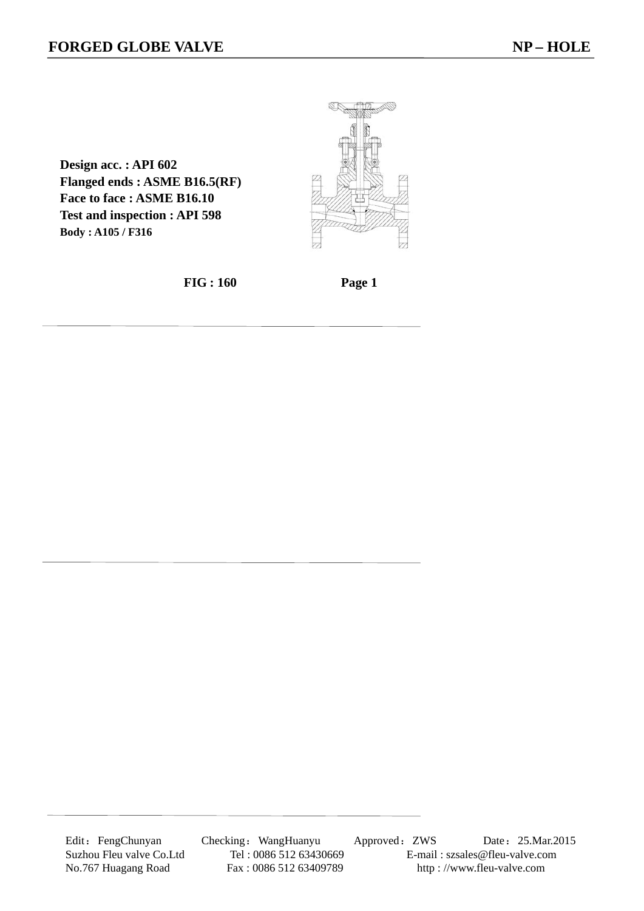**Design acc. : API 602 Flanged ends : ASME B16.5(RF) Face to face : ASME B16.10 Test and inspection : API 598 Body : A105 / F316** 



 **FIG : 160 Page 1** 

Edit: FengChunyan Checking: WangHuanyu Approved: ZWS Date: 25.Mar.2015 Suzhou Fleu valve Co.Ltd Tel : 0086 512 63430669 E-mail : szsales@fleu-valve.com<br>No.767 Huagang Road Fax : 0086 512 63409789 http : //www.fleu-valve.com http://www.fleu-valve.com